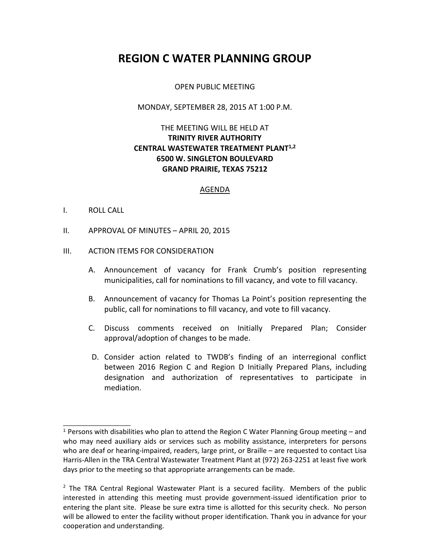# **REGION C WATER PLANNING GROUP**

#### OPEN PUBLIC MEETING

#### MONDAY, SEPTEMBER 28, 2015 AT 1:00 P.M.

# THE MEETING WILL BE HELD AT **TRINITY RIVER AUTHORITY CENTRAL WASTEWATER TREATMENT PLANT1,2 6500 W. SINGLETON BOULEVARD GRAND PRAIRIE, TEXAS 75212**

#### AGENDA

#### I. ROLL CALL

\_\_\_\_\_\_\_\_\_\_\_\_\_\_\_\_

II. APPROVAL OF MINUTES – APRIL 20, 2015

#### III. ACTION ITEMS FOR CONSIDERATION

- A. Announcement of vacancy for Frank Crumb's position representing municipalities, call for nominations to fill vacancy, and vote to fill vacancy.
- B. Announcement of vacancy for Thomas La Point's position representing the public, call for nominations to fill vacancy, and vote to fill vacancy.
- C. Discuss comments received on Initially Prepared Plan; Consider approval/adoption of changes to be made.
- D. Consider action related to TWDB's finding of an interregional conflict between 2016 Region C and Region D Initially Prepared Plans, including designation and authorization of representatives to participate in mediation.

<sup>1</sup> Persons with disabilities who plan to attend the Region C Water Planning Group meeting – and who may need auxiliary aids or services such as mobility assistance, interpreters for persons who are deaf or hearing-impaired, readers, large print, or Braille – are requested to contact Lisa Harris-Allen in the TRA Central Wastewater Treatment Plant at (972) 263-2251 at least five work days prior to the meeting so that appropriate arrangements can be made.

 $<sup>2</sup>$  The TRA Central Regional Wastewater Plant is a secured facility. Members of the public</sup> interested in attending this meeting must provide government-issued identification prior to entering the plant site. Please be sure extra time is allotted for this security check. No person will be allowed to enter the facility without proper identification. Thank you in advance for your cooperation and understanding.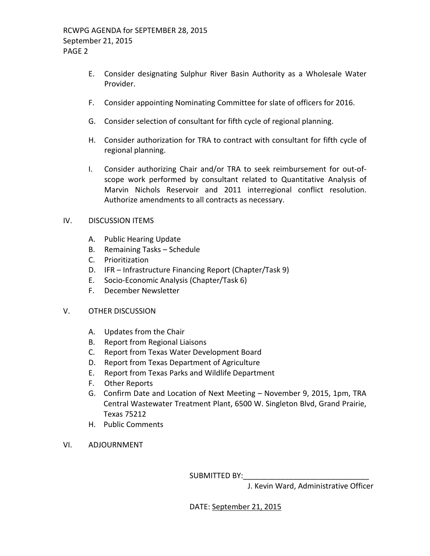- E. Consider designating Sulphur River Basin Authority as a Wholesale Water Provider.
- F. Consider appointing Nominating Committee for slate of officers for 2016.
- G. Consider selection of consultant for fifth cycle of regional planning.
- H. Consider authorization for TRA to contract with consultant for fifth cycle of regional planning.
- I. Consider authorizing Chair and/or TRA to seek reimbursement for out-ofscope work performed by consultant related to Quantitative Analysis of Marvin Nichols Reservoir and 2011 interregional conflict resolution. Authorize amendments to all contracts as necessary.

## IV. DISCUSSION ITEMS

- A. Public Hearing Update
- B. Remaining Tasks Schedule
- C. Prioritization
- D. IFR Infrastructure Financing Report (Chapter/Task 9)
- E. Socio-Economic Analysis (Chapter/Task 6)
- F. December Newsletter

## V. OTHER DISCUSSION

- A. Updates from the Chair
- B. Report from Regional Liaisons
- C. Report from Texas Water Development Board
- D. Report from Texas Department of Agriculture
- E. Report from Texas Parks and Wildlife Department
- F. Other Reports
- G. Confirm Date and Location of Next Meeting November 9, 2015, 1pm, TRA Central Wastewater Treatment Plant, 6500 W. Singleton Blvd, Grand Prairie, Texas 75212
- H. Public Comments
- VI. ADJOURNMENT

SUBMITTED BY:

J. Kevin Ward, Administrative Officer

DATE: September 21, 2015